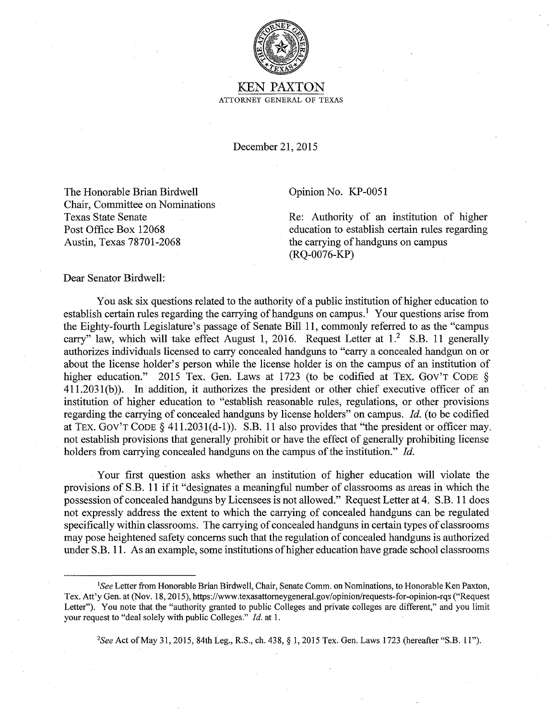

KEN PAXTON ATTORNEY GENERAL OF TEXAS

December 21, 2015

The Honorable Brian Birdwell Chair, Committee on Nominations Texas State Senate Post Office Box 12068 Austin, Texas 78701-2068

## Opinion No. KP-0051

Re: Authority of an institution of higher education to establish certain rules regarding the carrying of handguns on campus (RQ-0076-KP)

## Dear Senator Birdwell:

You ask six questions related to the authority of a public institution of higher education to establish certain rules regarding the carrying of handguns on campus.<sup>1</sup> Your questions arise from the Eighty-fourth Legislature's passage of Senate Bill 11, commonly referred to as the "campus carry" law, which will take effect August 1, 2016. Request Letter at  $1<sup>2</sup>$  S.B. 11 generally authorizes individuals licensed to carry concealed handguns to "carry a concealed handgun on or about the license holder's person while the license holder is on the campus of an institution of higher education." 2015 Tex. Gen. Laws at 1723 (to be codified at TEX. GOV'T CODE § 411.2031 (b) ). In addition, it authorizes the president or other chief executive officer of an institution of higher education to "establish reasonable rules, regulations, or other provisions regarding the carrying of concealed handguns by license holders" on campus. *Id.* (to be codified at TEX. GOV'T CODE § 411.2031(d-1)). S.B. 11 also provides that "the president or officer may. not establish provisions that generally prohibit or have the effect of generally prohibiting license holders from carrying concealed handguns on the campus of the institution." *Id.* 

Your first question asks whether an institution of higher education will violate the provisions of S.B. 11 if it "designates a meaningful number of classrooms as areas in which the possession of concealed handguns by Licensees is not allowed." Request Letter at 4. S.B. 11 does not expressly address the extent to which the carrying of concealed handguns can be regulated specifically within classrooms. The carrying of concealed handguns in certain types of classrooms may pose heightened safety concerns such that the regulation of concealed handguns is authorized under S.B. 11. As an example, some institutions of higher education have grade school classrooms

*2 See* Act of May 31, 2015, 84th Leg., R.S., ch. 438, § 1, 2015 Tex. Gen. Laws 1723 (hereafter "S.B. 11").

*<sup>1</sup> See* Letter from Honorable Brian Birdwell, Chair, Senate Comm. on Nominations, to Honorable Ken Paxton, Tex. Att'y Gen. at (Nov. 18, 2015), https://www.texasattomeygeneral.gov/opinion/requests-for-opinion-rqs ("Request Letter"). You note that the "authority granted to public Colleges and private colleges are different," and you limit your request to "deal solely with public Colleges." *Id.* at 1.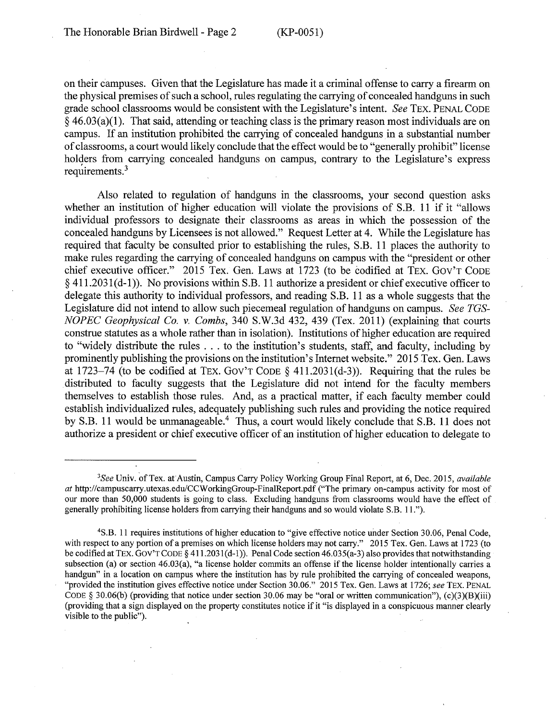on their campuses. Given that the Legislature has made it a criminal offense to carry a firearm on the physical premises of such a school, rules regulating the carrying of concealed handguns in such grade school classrooms would be consistent with the Legislature's intent. *See* TEX. PENAL CODE  $§$  46.03(a)(1). That said, attending or teaching class is the primary reason most individuals are on campus. If an institution prohibited the carrying of concealed handguns in a substantial number of classrooms, a court would likely conclude that the effect would be to "generally prohibit" license holders from carrying concealed handguns on campus, contrary to the Legislature's express requirements. $3$ 

Also related to regulation of handguns in the classrooms, your second question asks whether an institution of higher education will violate the provisions of S.B. 11 if it "allows individual professors to designate their classrooms as areas in which the possession of the concealed handguns by Licensees is not allowed." Request Letter at 4. While the Legislature has required that faculty be consulted prior to establishing the rules, S.B. 11 places the authority to make rules regarding the carrying of concealed handguns on campus with the "president or other chief executive officer." 2015 Tex. Gen. Laws at 1723 (to be codified at TEX. Gov'T CODE  $\S$  411.2031(d-1)). No provisions within S.B. 11 authorize a president or chief executive officer to delegate this authority to individual professors, and reading S.B. 11 as a whole suggests that the Legislature did not intend to allow such piecemeal regulation of handguns on campus. *See TGS-N OP EC Geophysical Co. v. Combs,* 340 S.W.3d 432, 439 (Tex. 2011) (explaining that courts construe statutes as a whole rather than in isolation). Institutions of higher education are required to "widely distribute the rules ... to the institution's students, staff, and faculty, including by prominently publishing the provisions on the institution's Internet website." 2015 Tex. Gen. Laws at 1723-74 (to be codified at TEX. Gov'T CODE § 41 l.2031(d-3)). Requiring that the rules be . distributed to faculty suggests that the Legislature did not intend for the faculty members themselves to establish those rules. And, as a practical matter, if each faculty member could establish individualized rules, adequately publishing such rules and providing the notice required by S.B. 11 would be unmanageable.<sup>4</sup> Thus, a court would likely conclude that S.B. 11 does not authorize a president or chief executive officer of an institution of higher education to delegate to

<sup>&</sup>lt;sup>3</sup> See Univ. of Tex. at Austin, Campus Carry Policy Working Group Final Report, at 6, Dec. 2015, *available at* http://campuscarry.utexas.edu/CCWorkingGroup-FinalReport.pdf ("The primary on-campus activity for most of our more than 50,000 students is going to class. Excluding handguns from classrooms would have the effect of generally prohibiting license holders from carrying their handguns and so would violate S.B. 11.").

<sup>4</sup> S.B. 11 requires institutions of higher education to "give effective notice under Section 30.06, Penal Code, with respect to any portion of a premises on which license holders may not carry." 2015 Tex. Gen. Laws at 1723 (to be codified at TEX. GOV'T CODE § 411.2031(d-1)). Penal Code section 46.035(a-3) also provides that notwithstanding subsection (a) or section 46.03(a), "a license holder commits an offense if the license holder intentionally carries a handgun" in a location on campus where the institution has by rule prohibited the carrying of concealed weapons, "provided the institution gives effective notice under Section 30.06." 2015 Tex. Gen. Laws at 1726; *see* TEX. PENAL CODE § 30.06(b) (providing that notice under section 30.06 may be "oral or written communication"), (c)(3)(B)(iii) (providing that a sign displayed on the property constitutes notice if it "is displayed in a conspicuous manner clearly visible to the public").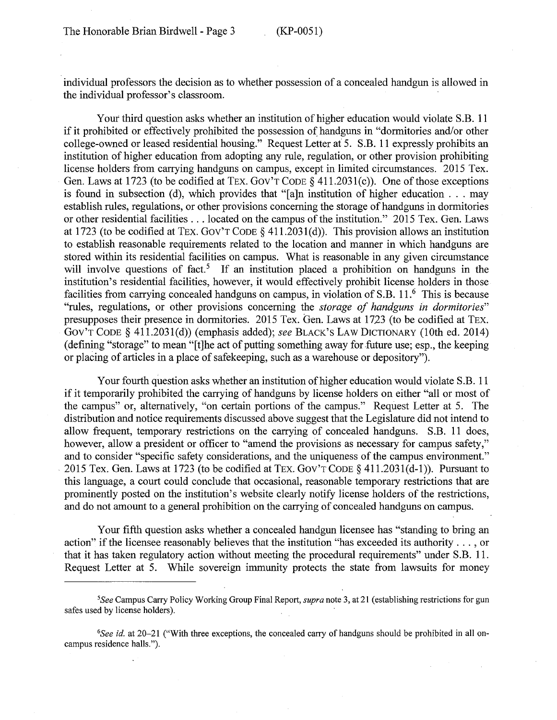individual professors the decision as to whether possession of a concealed handgun is allowed in the individual professor's classroom.

Your third question asks whether an institution of higher education would violate S.B. 11 if it prohibited or effectively prohibited the possession of handguns in "dormitories and/or other college-owned or leased residential housing." Request Letter at 5. S.B. 11 expressly prohibits an institution of higher education from adopting any rule, regulation, or other provision prohibiting license holders from carrying handguns on campus, except in limited circumstances. 2015 Tex. Gen. Laws at 1723 (to be codified at TEX. GOV'T CODE § 411.2031(c)). One of those exceptions is found in subsection (d), which provides that "[a]n institution of higher education ... may establish rules, regulations, or other provisions concerning the storage of handguns in dormitories or other residential facilities ... located on the campus of the institution." 2015 Tex. Gen. Laws at 1723 (to be codified at TEX. GOV'T CODE  $\S$  411.2031(d)). This provision allows an institution to establish reasonable requirements related to the location and manner in which handguns are stored within its residential facilities on campus. What is reasonable in any given circumstance will involve questions of fact.<sup>5</sup> If an institution placed a prohibition on handguns in the institution's residential facilities, however, it would effectively prohibit license holders in those facilities from carrying concealed handguns on campus, in violation of S.B. 11.<sup>6</sup> This is because "rules, regulations, or other provisions concerning the *storage of handguns in dormitories"*  presupposes their presence in dormitories. 2015 Tex. Gen. Laws at 1723 (to be codified at TEX. Gov'T CODE § 41 l.203l(d)) (emphasis added); *see* BLACK'S LAW DICTIONARY (10th ed. 2014) (defining "storage" to mean "[t]he act of putting something away for future use; esp., the keeping or placing of articles in a place of safekeeping, such as a warehouse or depository").

Your fourth question asks whether an institution of higher education would violate S.B. 11 if it temporarily prohibited the carrying of handguns by license holders on either "all or most of the campus" or, alternatively, "on certain portions of the campus." Request Letter at 5. The distribution and notice requirements discussed above suggest that the Legislature did not intend to allow frequent, temporary restrictions on the carrying of concealed handguns. S.B. 11 does, however, allow a president or officer to "amend the provisions as necessary for campus safety," and to consider "specific safety considerations, and the uniqueness of the campus environment." . 2015 Tex. Gen. Laws at 1723 (to be codified at TEX. Gov'T CODE§ 411.203 l(d-1)). Pursuant to this language, a court could conclude that occasional, reasonable temporary restrictions that are prominently posted on the institution's website clearly notify license holders of the restrictions, and do not amount to a general prohibition on the carrying of concealed handguns on campus.

Your fifth question asks whether a concealed handgun licensee has "standing to bring an action" if the licensee reasonably believes that the institution "has exceeded its authority ... , or that it has taken regulatory action without meeting the procedural requirements" under S.B. 11. Request Letter at 5. While sovereign immunity protects the state from lawsuits for money

<sup>5</sup>*See* Campus Carry Policy Working Group Final Report, *supra* note 3, at 21 (establishing restrictions for gun safes used by license holders).

<sup>6</sup> *See id.* at 20-21 ("With three exceptions, the concealed carry of handguns should be prohibited in all oncampus residence halls.").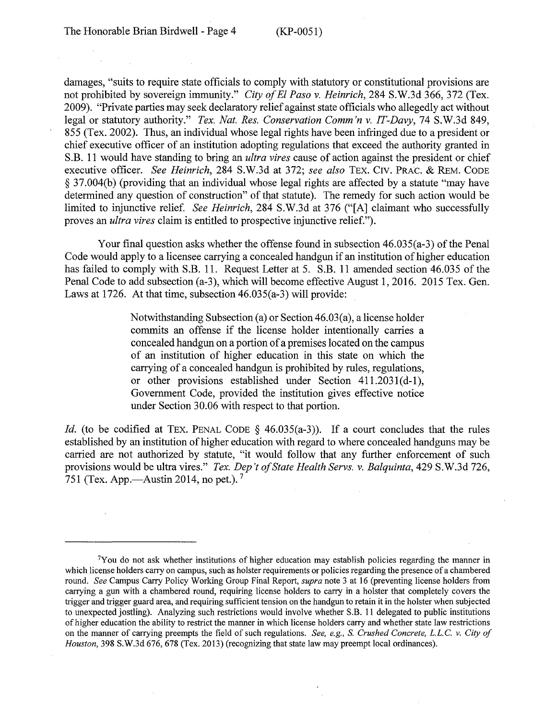damages, "suits to require state officials to comply with statutory or constitutional provisions are not prohibited by sovereign immunity." *City of El Paso v. Heinrich,* 284 S.W.3d 366, 372 (Tex. 2009). "Private parties may seek declaratory relief against state officials who allegedly act without legal or statutory authority." *Tex. Nat. Res. Conservation Comm 'n v. IT-Davy,* 74 S.W.3d 849, 855 (Tex. 2002). Thus, an individual whose legal rights have been infringed due to a president or chief executive officer of an institution adopting regulations that exceed the authority granted in S.B. 11 would have standing to bring an *ultra vires* cause of action against the president or chief executive officer. *See Heinrich,* 284 S.W.3d at 372; *see also* TEX. C1v. PRAC. & REM. CODE § 37.004(b) (providing that an individual whose legal rights are affected by a statute "may have determined any question of construction" of that statute). The remedy for such action would be limited to injunctive relief. *See Heinrich,* 284 S.W.3d at 376 ("[A] claimant who successfully proves an *ultra vires* claim is entitled to prospective injunctive relief.").

Your final question asks whether the offense found in subsection 46.035(a-3) of the Penal Code would apply to a licensee carrying a concealed handgun if an institution of higher education has failed to comply with S.B. 11. Request Letter at 5. S.B. 11 amended section 46.035 of the Penal Code to add subsection (a-3), which will become effective August 1, 2016. 2015 Tex. Gen. Laws at 1726. At that time, subsection 46.035(a-3) will provide:

> Notwithstanding Subsection (a) or Section 46.03(a), a license holder commits an offense if the license holder intentionally carries a concealed handgun on a portion of a premises located on the campus of an institution of higher education in this state on which the carrying of a concealed handgun is prohibited by rules, regulations, or other provisions established under Section  $411.2031(d-1)$ , Government Code, provided the institution gives effective notice under Section 30.06 with respect to that portion.

*Id.* (to be codified at TEX. PENAL CODE § 46.035(a-3)). If a court concludes that the rules established by an institution of higher education with regard to where concealed handguns may be carried are not authorized by statute, "it would follow that any further enforcement of such provisions would be ultra vires." *Tex. Dep 't of State Health Servs. v. Balquinta,* 429 S.W.3d 726, 751 (Tex. App.—Austin 2014, no pet.).<sup>7</sup>

<sup>7</sup>Y ou do not ask whether institutions of higher education may establish policies regarding the manner in which license holders carry on campus, such as holster requirements or policies regarding the presence of a chambered round. *See* Campus Carry Policy Working Group Final Report, *supra* note 3 at 16 (preventing license holders from carrying a gun with a chambered round, requiring license holders to carry in a holster that completely covers the trigger and trigger guard area, and requiring sufficient tension on the handgun to retain it in the holster when subjected to unexpected jostling). Analyzing such restrictions would involve whether S.B. 11 delegated to public institutions of higher education the ability to restrict the manner in which license holders carry and whether state law restrictions on the manner of carrying preempts the field of such regulations. *See, e.g.,* S. *Crushed Concrete, L.L.C. v. City of Houston,* 398 S.W.3d 676, 678 (Tex. 2013) (recognizing that state law may preempt local ordinances).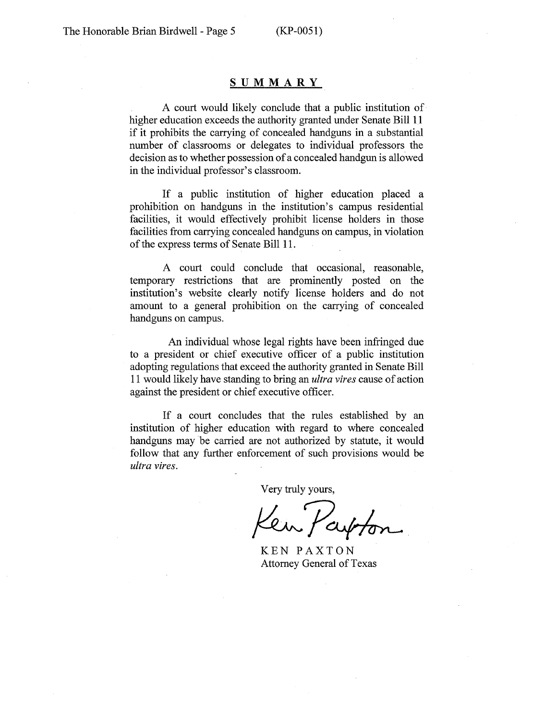## **SUMMARY**

A court would likely conclude that a public institution of higher education exceeds the authority granted under Senate Bill 11 if it prohibits the carrying of concealed handguns in a substantial number of classrooms or delegates to individual professors the decision as to whether possession of a concealed handgun is allowed in the individual professor's classroom.

If a public institution of higher education placed a prohibition on handguns in the institution's campus residential facilities, it would effectively prohibit license holders in those facilities from carrying concealed handguns on campus, in violation of the express terms of Senate Bill 11.

A court could conclude that occasional, reasonable, temporary restrictions that are prominently posted on the institution's website clearly notify license holders and do not amount to a general prohibition on the carrying of concealed handguns on campus.

An individual whose legal rights have been infringed due to a president or chief executive officer of a public institution adopting regulations that exceed the authority granted in Senate Bill 11 would likely have standing to bring an *ultra vires* cause of action against the president or chief executive officer.

If a court concludes that the rules established by an institution of higher education with regard to where concealed handguns may be carried are not authorized by statute, it would follow that any further enforcement of such provisions would be *ultra vires.* 

Very truly yours,

Part

KEN PAXTON Attorney General of Texas